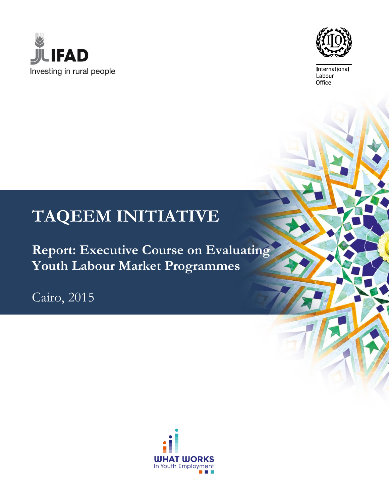



International Labour Office

# **TAQEEM INITIATIVE**

**Report: Executive Course on Evaluating Youth Labour Market Programmes**

Cairo, 2015

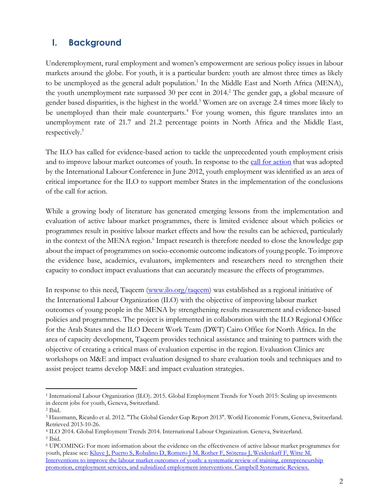## **I. Background**

Underemployment, rural employment and women's empowerment are serious policy issues in labour markets around the globe. For youth, it is a particular burden: youth are almost three times as likely to be unemployed as the general adult population.<sup>1</sup> In the Middle East and North Africa (MENA), the youth unemployment rate surpassed 30 per cent in 2014. <sup>2</sup> The gender gap, a global measure of gender based disparities, is the highest in the world.<sup>3</sup> Women are on average 2.4 times more likely to be unemployed than their male counterparts.<sup>4</sup> For young women, this figure translates into an unemployment rate of 21.7 and 21.2 percentage points in North Africa and the Middle East, respectively.<sup>5</sup>

The ILO has called for evidence-based action to tackle the unprecedented youth employment crisis and to improve labour market outcomes of youth. In response to the [call for action](http://www.ilo.org/ilc/ILCSessions/101stSession/texts-adopted/WCMS_185950/lang--en/index.htm) that was adopted by the International Labour Conference in June 2012, youth employment was identified as an area of critical importance for the ILO to support member States in the implementation of the conclusions of the call for action.

While a growing body of literature has generated emerging lessons from the implementation and evaluation of active labour market programmes, there is limited evidence about which policies or programmes result in positive labour market effects and how the results can be achieved, particularly in the context of the MENA region.<sup>6</sup> Impact research is therefore needed to close the knowledge gap about the impact of programmes on socio-economic outcome indicators of young people. To improve the evidence base, academics, evaluators, implementers and researchers need to strengthen their capacity to conduct impact evaluations that can accurately measure the effects of programmes.

In response to this need, Taqeem [\(www.ilo.org/taqeem\)](http://www.ilo.org/taqeem) was established as a regional initiative of the International Labour Organization (ILO) with the objective of improving labour market outcomes of young people in the MENA by strengthening results measurement and evidence-based policies and programmes. The project is implemented in collaboration with the ILO Regional Office for the Arab States and the ILO Decent Work Team (DWT) Cairo Office for North Africa. In the area of capacity development, Taqeem provides technical assistance and training to partners with the objective of creating a critical mass of evaluation expertise in the region. Evaluation Clinics are workshops on M&E and impact evaluation designed to share evaluation tools and techniques and to assist project teams develop M&E and impact evaluation strategies.

 $\overline{a}$ <sup>1</sup> International Labour Organization (ILO). 2015. Global Employment Trends for Youth 2015: Scaling up investments in decent jobs for youth, Geneva, Switzerland.

<sup>2</sup> Ibid.

<sup>3</sup> Hausmann, Ricardo et al. 2012. "The Global Gender Gap Report 2013". World Economic Forum, Geneva, Switzerland. Retrieved 2013-10-26.

<sup>4</sup> ILO 2014. Global Employment Trends 2014. International Labour Organization. Geneva, Switzerland. <sup>5</sup> Ibid.

<sup>6</sup> UPCOMING: For more information about the evidence on the effectiveness of active labour market programmes for youth, please see: Kluve J, Puerto S, Robalino D, Romero J M, Rother F, Stöterau J, Weidenkaff F, Witte M. [Interventions to improve the labour market outcomes of youth: a systematic review of training, entrepreneurship](http://www.ilo.org/employment/areas/youth-employment/WCMS_327595/lang--en/index.htm)  [promotion, employment services, and subsidized employment interventions. Campbell Systematic Reviews.](http://www.ilo.org/employment/areas/youth-employment/WCMS_327595/lang--en/index.htm)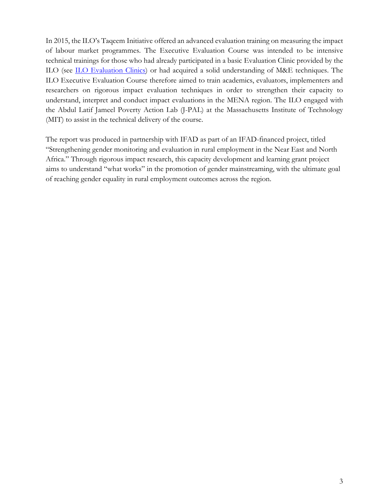In 2015, the ILO's Taqeem Initiative offered an advanced evaluation training on measuring the impact of labour market programmes. The Executive Evaluation Course was intended to be intensive technical trainings for those who had already participated in a basic Evaluation Clinic provided by the ILO (see [ILO Evaluation Clinics\)](http://www.ilo.org/global/topics/youth-employment/projects/evaluation/capacity-development/lang--en/index.htm) or had acquired a solid understanding of M&E techniques. The ILO Executive Evaluation Course therefore aimed to train academics, evaluators, implementers and researchers on rigorous impact evaluation techniques in order to strengthen their capacity to understand, interpret and conduct impact evaluations in the MENA region. The ILO engaged with the Abdul Latif Jameel Poverty Action Lab (J-PAL) at the Massachusetts Institute of Technology (MIT) to assist in the technical delivery of the course.

The report was produced in partnership with IFAD as part of an IFAD-financed project, titled "Strengthening gender monitoring and evaluation in rural employment in the Near East and North Africa." Through rigorous impact research, this capacity development and learning grant project aims to understand "what works" in the promotion of gender mainstreaming, with the ultimate goal of reaching gender equality in rural employment outcomes across the region.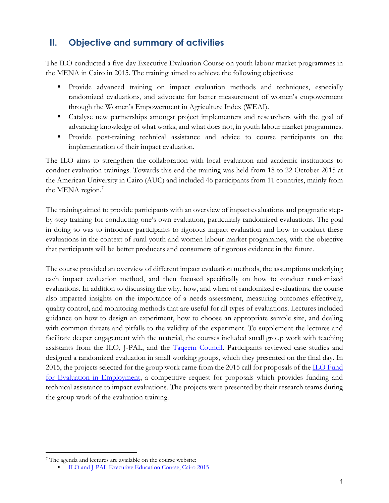# **II. Objective and summary of activities**

The ILO conducted a five-day Executive Evaluation Course on youth labour market programmes in the MENA in Cairo in 2015. The training aimed to achieve the following objectives:

- Provide advanced training on impact evaluation methods and techniques, especially randomized evaluations, and advocate for better measurement of women's empowerment through the Women's Empowerment in Agriculture Index (WEAI).
- Catalyse new partnerships amongst project implementers and researchers with the goal of advancing knowledge of what works, and what does not, in youth labour market programmes.
- Provide post-training technical assistance and advice to course participants on the implementation of their impact evaluation.

The ILO aims to strengthen the collaboration with local evaluation and academic institutions to conduct evaluation trainings. Towards this end the training was held from 18 to 22 October 2015 at the American University in Cairo (AUC) and included 46 participants from 11 countries, mainly from the MENA region.<sup>7</sup>

The training aimed to provide participants with an overview of impact evaluations and pragmatic stepby-step training for conducting one's own evaluation, particularly randomized evaluations. The goal in doing so was to introduce participants to rigorous impact evaluation and how to conduct these evaluations in the context of rural youth and women labour market programmes, with the objective that participants will be better producers and consumers of rigorous evidence in the future.

The course provided an overview of different impact evaluation methods, the assumptions underlying each impact evaluation method, and then focused specifically on how to conduct randomized evaluations. In addition to discussing the why, how, and when of randomized evaluations, the course also imparted insights on the importance of a needs assessment, measuring outcomes effectively, quality control, and monitoring methods that are useful for all types of evaluations. Lectures included guidance on how to design an experiment, how to choose an appropriate sample size, and dealing with common threats and pitfalls to the validity of the experiment. To supplement the lectures and facilitate deeper engagement with the material, the courses included small group work with teaching assistants from the ILO, J-PAL, and the [Taqeem Council.](http://www.ilo.org/employment/areas/youth-employment/WCMS_377039/lang--en/index.htm) Participants reviewed case studies and designed a randomized evaluation in small working groups, which they presented on the final day. In 2015, the projects selected for the group work came from the 2015 call for proposals of the [ILO Fund](http://www.ilo.org/employment/areas/youth-employment/WCMS_379231/lang--en/index.htm)  [for Evaluation in Employment,](http://www.ilo.org/employment/areas/youth-employment/WCMS_379231/lang--en/index.htm) a competitive request for proposals which provides funding and technical assistance to impact evaluations. The projects were presented by their research teams during the group work of the evaluation training.

 $\overline{a}$ 

<sup>7</sup> The agenda and lectures are available on the course website:

[ILO and J-PAL Executive Education Course, Cairo 2015](http://www.ilo.org/employment/areas/youth-employment/WCMS_392383/lang--en/index.htm)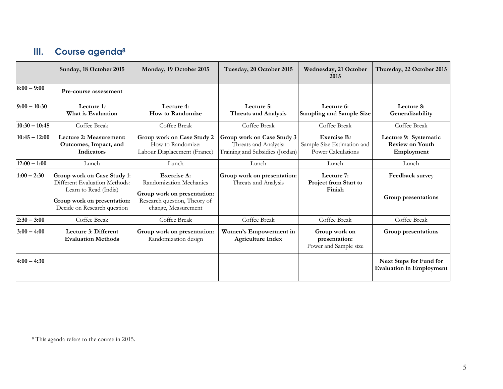# **III. Course agenda<sup>8</sup>**

|                 | Sunday, 18 October 2015                                                                                                                             | Monday, 19 October 2015                                                                                                      | Tuesday, 20 October 2015                                                               | Wednesday, 21 October<br>2015                                          | Thursday, 22 October 2015                                     |
|-----------------|-----------------------------------------------------------------------------------------------------------------------------------------------------|------------------------------------------------------------------------------------------------------------------------------|----------------------------------------------------------------------------------------|------------------------------------------------------------------------|---------------------------------------------------------------|
| $8:00 - 9:00$   | Pre-course assessment                                                                                                                               |                                                                                                                              |                                                                                        |                                                                        |                                                               |
| $9:00 - 10:30$  | Lecture 1:<br>What is Evaluation                                                                                                                    | Lecture 4:<br><b>How to Randomize</b>                                                                                        | Lecture 5:<br><b>Threats and Analysis</b>                                              | Lecture 6:<br><b>Sampling and Sample Size</b>                          | Lecture 8:<br>Generalizability                                |
| $10:30 - 10:45$ | Coffee Break                                                                                                                                        | Coffee Break                                                                                                                 | Coffee Break                                                                           | Coffee Break                                                           | Coffee Break                                                  |
| $10:45 - 12:00$ | Lecture 2: Measurement:<br>Outcomes, Impact, and<br>Indicators                                                                                      | Group work on Case Study 2<br>How to Randomize:<br>Labour Displacement (France)                                              | Group work on Case Study 3<br>Threats and Analysis:<br>Training and Subsidies (Jordan) | Exercise B:<br>Sample Size Estimation and<br><b>Power Calculations</b> | Lecture 9: Systematic<br><b>Review on Youth</b><br>Employment |
| $12:00 - 1:00$  | Lunch                                                                                                                                               | Lunch                                                                                                                        | Lunch                                                                                  | Lunch                                                                  | Lunch                                                         |
| $1:00 - 2:30$   | Group work on Case Study 1:<br>Different Evaluation Methods:<br>Learn to Read (India)<br>Group work on presentation:<br>Decide on Research question | Exercise A:<br>Randomization Mechanics<br>Group work on presentation:<br>Research question, Theory of<br>change, Measurement | Group work on presentation:<br>Threats and Analysis                                    | Lecture 7:<br>Project from Start to<br>Finish                          | Feedback survey<br>Group presentations                        |
| $2:30 - 3:00$   | Coffee Break                                                                                                                                        | Coffee Break                                                                                                                 | Coffee Break                                                                           | Coffee Break                                                           | Coffee Break                                                  |
| $3:00 - 4:00$   | Lecture 3: Different<br><b>Evaluation Methods</b>                                                                                                   | Group work on presentation:<br>Randomization design                                                                          | Women's Empowerment in<br><b>Agriculture Index</b>                                     | Group work on<br>presentation:<br>Power and Sample size                | Group presentations                                           |
| $4:00 - 4:30$   |                                                                                                                                                     |                                                                                                                              |                                                                                        |                                                                        | Next Steps for Fund for<br><b>Evaluation in Employment</b>    |

 $\overline{a}$ 

<sup>8</sup> This agenda refers to the course in 2015.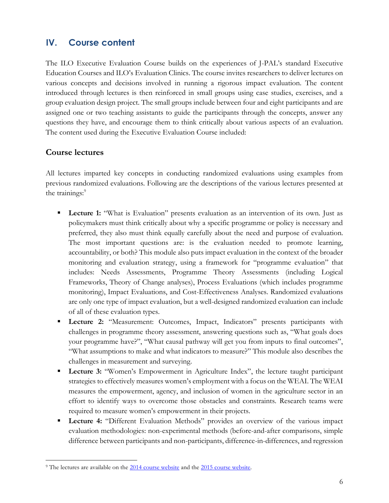## **IV. Course content**

The ILO Executive Evaluation Course builds on the experiences of J-PAL's standard Executive Education Courses and ILO's Evaluation Clinics. The course invites researchers to deliver lectures on various concepts and decisions involved in running a rigorous impact evaluation. The content introduced through lectures is then reinforced in small groups using case studies, exercises, and a group evaluation design project. The small groups include between four and eight participants and are assigned one or two teaching assistants to guide the participants through the concepts, answer any questions they have, and encourage them to think critically about various aspects of an evaluation. The content used during the Executive Evaluation Course included:

#### **Course lectures**

 $\overline{a}$ 

All lectures imparted key concepts in conducting randomized evaluations using examples from previous randomized evaluations. Following are the descriptions of the various lectures presented at the trainings:<sup>9</sup>

- **Lecture 1:** "What is Evaluation" presents evaluation as an intervention of its own. Just as policymakers must think critically about why a specific programme or policy is necessary and preferred, they also must think equally carefully about the need and purpose of evaluation. The most important questions are: is the evaluation needed to promote learning, accountability, or both? This module also puts impact evaluation in the context of the broader monitoring and evaluation strategy, using a framework for "programme evaluation" that includes: Needs Assessments, Programme Theory Assessments (including Logical Frameworks, Theory of Change analyses), Process Evaluations (which includes programme monitoring), Impact Evaluations, and Cost-Effectiveness Analyses. Randomized evaluations are only one type of impact evaluation, but a well-designed randomized evaluation can include of all of these evaluation types.
- **Lecture 2:** "Measurement: Outcomes, Impact, Indicators" presents participants with challenges in programme theory assessment, answering questions such as, "What goals does your programme have?", "What causal pathway will get you from inputs to final outcomes", "What assumptions to make and what indicators to measure?" This module also describes the challenges in measurement and surveying.
- **Lecture 3:** "Women's Empowerment in Agriculture Index", the lecture taught participant strategies to effectively measures women's employment with a focus on the WEAI. The WEAI measures the empowerment, agency, and inclusion of women in the agriculture sector in an effort to identify ways to overcome those obstacles and constraints. Research teams were required to measure women's empowerment in their projects.
- **Lecture 4:** "Different Evaluation Methods" provides an overview of the various impact evaluation methodologies: non-experimental methods (before-and-after comparisons, simple difference between participants and non-participants, difference-in-differences, and regression

<sup>&</sup>lt;sup>9</sup> The lectures are available on the [2014 course website](http://www.ilo.org/employment/areas/youth-employment/WCMS_310217/lang--en/index.htm) and the [2015 course website.](http://www.ilo.org/employment/areas/youth-employment/WCMS_392383/lang--en/index.htm)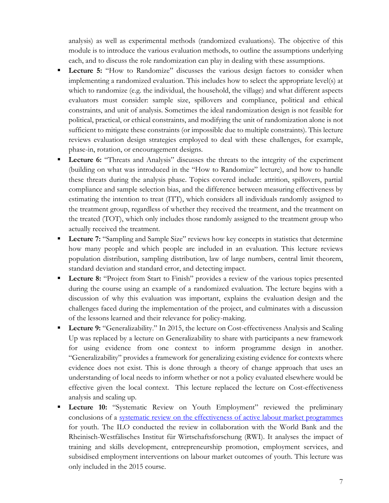analysis) as well as experimental methods (randomized evaluations). The objective of this module is to introduce the various evaluation methods, to outline the assumptions underlying each, and to discuss the role randomization can play in dealing with these assumptions.

- **Lecture 5:** "How to Randomize" discusses the various design factors to consider when implementing a randomized evaluation. This includes how to select the appropriate level(s) at which to randomize (e.g. the individual, the household, the village) and what different aspects evaluators must consider: sample size, spillovers and compliance, political and ethical constraints, and unit of analysis. Sometimes the ideal randomization design is not feasible for political, practical, or ethical constraints, and modifying the unit of randomization alone is not sufficient to mitigate these constraints (or impossible due to multiple constraints). This lecture reviews evaluation design strategies employed to deal with these challenges, for example, phase-in, rotation, or encouragement designs.
- **Lecture 6:** "Threats and Analysis" discusses the threats to the integrity of the experiment (building on what was introduced in the "How to Randomize" lecture), and how to handle these threats during the analysis phase. Topics covered include: attrition, spillovers, partial compliance and sample selection bias, and the difference between measuring effectiveness by estimating the intention to treat (ITT), which considers all individuals randomly assigned to the treatment group, regardless of whether they received the treatment, and the treatment on the treated (TOT), which only includes those randomly assigned to the treatment group who actually received the treatment.
- **Lecture 7:** "Sampling and Sample Size" reviews how key concepts in statistics that determine how many people and which people are included in an evaluation. This lecture reviews population distribution, sampling distribution, law of large numbers, central limit theorem, standard deviation and standard error, and detecting impact.
- **Lecture 8:** "Project from Start to Finish" provides a review of the various topics presented during the course using an example of a randomized evaluation. The lecture begins with a discussion of why this evaluation was important, explains the evaluation design and the challenges faced during the implementation of the project, and culminates with a discussion of the lessons learned and their relevance for policy-making.
- **Lecture 9:** "Generalizability." In 2015, the lecture on Cost-effectiveness Analysis and Scaling Up was replaced by a lecture on Generalizability to share with participants a new framework for using evidence from one context to inform programme design in another. "Generalizability" provides a framework for generalizing existing evidence for contexts where evidence does not exist. This is done through a theory of change approach that uses an understanding of local needs to inform whether or not a policy evaluated elsewhere would be effective given the local context. This lecture replaced the lecture on Cost-effectiveness analysis and scaling up.
- Lecture 10: "Systematic Review on Youth Employment" reviewed the preliminary conclusions of a [systematic review on the effectiveness of active labour market programmes](http://www.ilo.org/employment/areas/youth-employment/WCMS_327595/lang--en/index.htm) for youth. The ILO conducted the review in collaboration with the World Bank and the Rheinisch-Westfälisches Institut für Wirtschaftsforschung (RWI). It analyses the impact of training and skills development, entrepreneurship promotion, employment services, and subsidised employment interventions on labour market outcomes of youth. This lecture was only included in the 2015 course.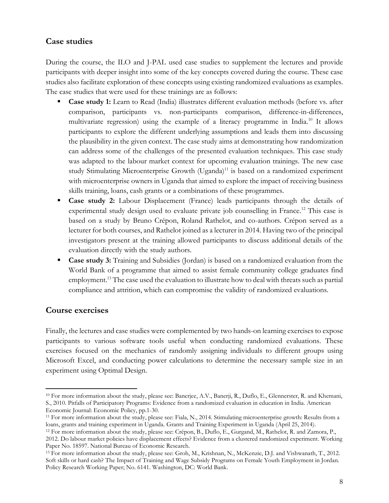#### **Case studies**

During the course, the ILO and J-PAL used case studies to supplement the lectures and provide participants with deeper insight into some of the key concepts covered during the course. These case studies also facilitate exploration of these concepts using existing randomized evaluations as examples. The case studies that were used for these trainings are as follows:

- **Case study 1:** Learn to Read (India) illustrates different evaluation methods (before vs. after comparison, participants vs. non-participants comparison, difference-in-differences, multivariate regression) using the example of a literacy programme in India.<sup>10</sup> It allows participants to explore the different underlying assumptions and leads them into discussing the plausibility in the given context. The case study aims at demonstrating how randomization can address some of the challenges of the presented evaluation techniques. This case study was adapted to the labour market context for upcoming evaluation trainings. The new case study Stimulating Microenterprise Growth (Uganda)<sup>11</sup> is based on a randomized experiment with microenterprise owners in Uganda that aimed to explore the impact of receiving business skills training, loans, cash grants or a combinations of these programmes.
- **Case study 2:** Labour Displacement (France) leads participants through the details of experimental study design used to evaluate private job counselling in France.<sup>12</sup> This case is based on a study by Bruno Crépon, Roland Rathelot, and co-authors. Crépon served as a lecturer for both courses, and Rathelot joined as a lecturer in 2014. Having two of the principal investigators present at the training allowed participants to discuss additional details of the evaluation directly with the study authors.
- **Case study 3:** Training and Subsidies (Jordan) is based on a randomized evaluation from the World Bank of a programme that aimed to assist female community college graduates find employment.<sup>13</sup> The case used the evaluation to illustrate how to deal with threats such as partial compliance and attrition, which can compromise the validity of randomized evaluations.

#### **Course exercises**

 $\overline{a}$ 

Finally, the lectures and case studies were complemented by two hands-on learning exercises to expose participants to various software tools useful when conducting randomized evaluations. These exercises focused on the mechanics of randomly assigning individuals to different groups using Microsoft Excel, and conducting power calculations to determine the necessary sample size in an experiment using Optimal Design.

<sup>10</sup> For more information about the study, please see: Banerjee, A.V., Banerji, R., Duflo, E., Glennerster, R. and Khemani, S., 2010. Pitfalls of Participatory Programs: Evidence from a randomized evaluation in education in India. American Economic Journal: Economic Policy, pp.1-30.

<sup>11</sup> For more information about the study, please see: Fiala, N., 2014. Stimulating microenterprise growth: Results from a loans, grants and training experiment in Uganda. Grants and Training Experiment in Uganda (April 25, 2014).

<sup>12</sup> For more information about the study, please see: Crépon, B., Duflo, E., Gurgand, M., Rathelot, R. and Zamora, P., 2012. Do labour market policies have displacement effects? Evidence from a clustered randomized experiment. Working Paper No. 18597. National Bureau of Economic Research.

<sup>13</sup> For more information about the study, please see: Groh, M., Krishnan, N., McKenzie, D.J. and Vishwanath, T., 2012. Soft skills or hard cash? The Impact of Training and Wage Subsidy Programs on Female Youth Employment in Jordan. Policy Research Working Paper; No. 6141. Washington, DC: World Bank.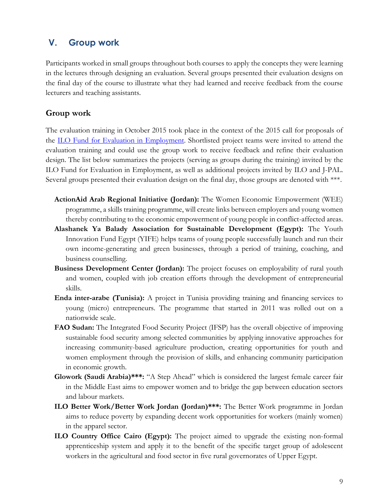#### **V. Group work**

Participants worked in small groups throughout both courses to apply the concepts they were learning in the lectures through designing an evaluation. Several groups presented their evaluation designs on the final day of the course to illustrate what they had learned and receive feedback from the course lecturers and teaching assistants.

#### **Group work**

The evaluation training in October 2015 took place in the context of the 2015 call for proposals of the [ILO Fund for Evaluation in Employment.](http://www.ilo.org/employment/areas/youth-employment/WCMS_379231/lang--en/index.htm) Shortlisted project teams were invited to attend the evaluation training and could use the group work to receive feedback and refine their evaluation design. The list below summarizes the projects (serving as groups during the training) invited by the ILO Fund for Evaluation in Employment, as well as additional projects invited by ILO and J-PAL. Several groups presented their evaluation design on the final day, those groups are denoted with \*\*\*.

- **ActionAid Arab Regional Initiative (Jordan):** The Women Economic Empowerment (WEE) programme, a skills training programme, will create links between employers and young women thereby contributing to the economic empowerment of young people in conflict-affected areas.
- **Alashanek Ya Balady Association for Sustainable Development (Egypt):** The Youth Innovation Fund Egypt (YIFE) helps teams of young people successfully launch and run their own income-generating and green businesses, through a period of training, coaching, and business counselling.
- **Business Development Center (Jordan):** The project focuses on employability of rural youth and women, coupled with job creation efforts through the development of entrepreneurial skills.
- **Enda inter-arabe (Tunisia):** A project in Tunisia providing training and financing services to young (micro) entrepreneurs. The programme that started in 2011 was rolled out on a nationwide scale.
- **FAO Sudan:** The Integrated Food Security Project (IFSP) has the overall objective of improving sustainable food security among selected communities by applying innovative approaches for increasing community-based agriculture production, creating opportunities for youth and women employment through the provision of skills, and enhancing community participation in economic growth.
- **Glowork (Saudi Arabia)\*\*\*:** "A Step Ahead" which is considered the largest female career fair in the Middle East aims to empower women and to bridge the gap between education sectors and labour markets.
- **ILO Better Work/Better Work Jordan (Jordan)\*\*\*:** The Better Work programme in Jordan aims to reduce poverty by expanding decent work opportunities for workers (mainly women) in the apparel sector.
- **ILO Country Office Cairo (Egypt):** The project aimed to upgrade the existing non-formal apprenticeship system and apply it to the benefit of the specific target group of adolescent workers in the agricultural and food sector in five rural governorates of Upper Egypt.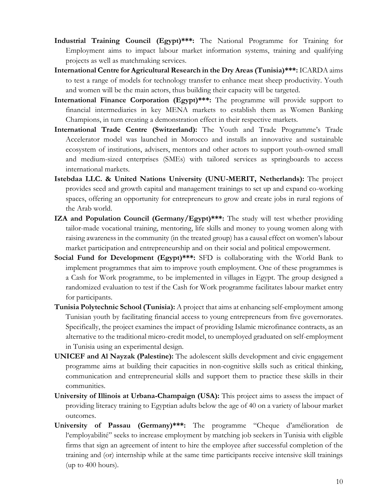- **Industrial Training Council (Egypt)\*\*\*:** The National Programme for Training for Employment aims to impact labour market information systems, training and qualifying projects as well as matchmaking services.
- **International Centre for Agricultural Research in the Dry Areas (Tunisia)\*\*\*:** ICARDA aims to test a range of models for technology transfer to enhance meat sheep productivity. Youth and women will be the main actors, thus building their capacity will be targeted.
- **International Finance Corporation (Egypt)\*\*\*:** The programme will provide support to financial intermediaries in key MENA markets to establish them as Women Banking Champions, in turn creating a demonstration effect in their respective markets.
- **International Trade Centre (Switzerland):** The Youth and Trade Programme's Trade Accelerator model was launched in Morocco and installs an innovative and sustainable ecosystem of institutions, advisers, mentors and other actors to support youth-owned small and medium-sized enterprises (SMEs) with tailored services as springboards to access international markets.
- **Istebdaa LLC. & United Nations University (UNU-MERIT, Netherlands):** The project provides seed and growth capital and management trainings to set up and expand co-working spaces, offering an opportunity for entrepreneurs to grow and create jobs in rural regions of the Arab world.
- **IZA and Population Council (Germany/Egypt)\*\*\*:** The study will test whether providing tailor-made vocational training, mentoring, life skills and money to young women along with raising awareness in the community (in the treated group) has a causal effect on women's labour market participation and entrepreneurship and on their social and political empowerment.
- **Social Fund for Development (Egypt)\*\*\*:** SFD is collaborating with the World Bank to implement programmes that aim to improve youth employment. One of these programmes is a Cash for Work programme, to be implemented in villages in Egypt. The group designed a randomized evaluation to test if the Cash for Work programme facilitates labour market entry for participants.
- **Tunisia Polytechnic School (Tunisia):** A project that aims at enhancing self-employment among Tunisian youth by facilitating financial access to young entrepreneurs from five governorates. Specifically, the project examines the impact of providing Islamic microfinance contracts, as an alternative to the traditional micro-credit model, to unemployed graduated on self-employment in Tunisia using an experimental design.
- **UNICEF and Al Nayzak (Palestine):** The adolescent skills development and civic engagement programme aims at building their capacities in non-cognitive skills such as critical thinking, communication and entrepreneurial skills and support them to practice these skills in their communities.
- **University of Illinois at Urbana-Champaign (USA):** This project aims to assess the impact of providing literacy training to Egyptian adults below the age of 40 on a variety of labour market outcomes.
- **University of Passau (Germany)\*\*\*:** The programme "Cheque d'amélioration de l'employabilité" seeks to increase employment by matching job seekers in Tunisia with eligible firms that sign an agreement of intent to hire the employee after successful completion of the training and (or) internship while at the same time participants receive intensive skill trainings (up to 400 hours).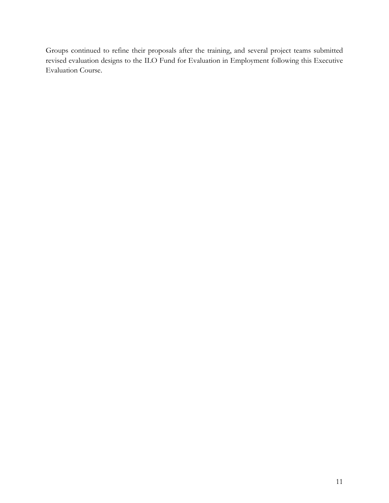Groups continued to refine their proposals after the training, and several project teams submitted revised evaluation designs to the ILO Fund for Evaluation in Employment following this Executive Evaluation Course.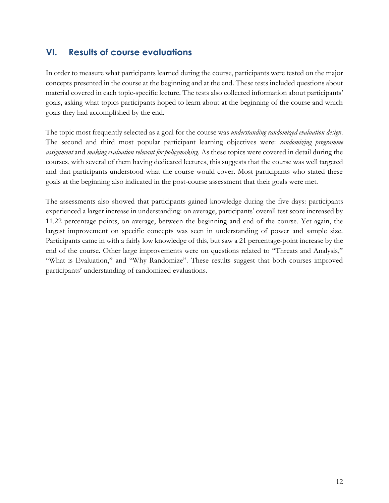## **VI. Results of course evaluations**

In order to measure what participants learned during the course, participants were tested on the major concepts presented in the course at the beginning and at the end. These tests included questions about material covered in each topic-specific lecture. The tests also collected information about participants' goals, asking what topics participants hoped to learn about at the beginning of the course and which goals they had accomplished by the end.

The topic most frequently selected as a goal for the course was *understanding randomized evaluation design*. The second and third most popular participant learning objectives were: *randomizing programme assignment* and *making evaluation relevant for policymaking*. As these topics were covered in detail during the courses, with several of them having dedicated lectures, this suggests that the course was well targeted and that participants understood what the course would cover. Most participants who stated these goals at the beginning also indicated in the post-course assessment that their goals were met.

The assessments also showed that participants gained knowledge during the five days: participants experienced a larger increase in understanding: on average, participants' overall test score increased by 11.22 percentage points, on average, between the beginning and end of the course. Yet again, the largest improvement on specific concepts was seen in understanding of power and sample size. Participants came in with a fairly low knowledge of this, but saw a 21 percentage-point increase by the end of the course. Other large improvements were on questions related to "Threats and Analysis," "What is Evaluation," and "Why Randomize". These results suggest that both courses improved participants' understanding of randomized evaluations.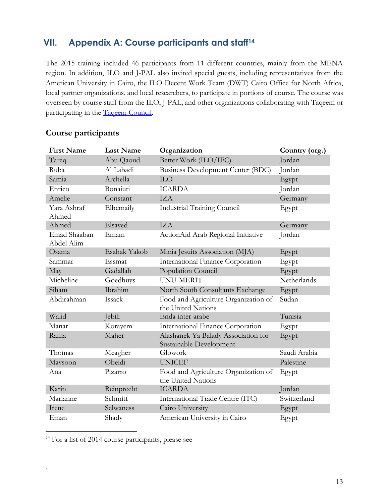# **VII. Appendix A: Course participants and staff<sup>14</sup>**

The 2015 training included 46 participants from 11 different countries, mainly from the MENA region. In addition, ILO and J-PAL also invited special guests, including representatives from the American University in Cairo, the ILO Decent Work Team (DWT) Cairo Office for North Africa, local partner organizations, and local researchers, to participate in portions of course. The course was overseen by course staff from the ILO, J-PAL, and other organizations collaborating with Taqeem or participating in the [Taqeem Council.](http://www.ilo.org/employment/areas/youth-employment/WCMS_377039/lang--en/index.htm)

| <b>First Name</b>          | <b>Last Name</b> | Organization                                                   | Country (org.) |
|----------------------------|------------------|----------------------------------------------------------------|----------------|
| Tareq                      | Abu Qaoud        | Better Work (ILO/IFC)                                          | Jordan         |
| Ruba                       | Al Labadi        | Business Development Center (BDC)                              | Jordan         |
| Samia                      | Archella         | <b>ILO</b>                                                     | Egypt          |
| Enrico                     | Bonaiuti         | <b>ICARDA</b>                                                  | Jordan         |
| Amelie                     | Constant         | <b>IZA</b>                                                     | Germany        |
| Yara Ashraf<br>Ahmed       | Elhemaily        | <b>Industrial Training Council</b>                             | Egypt          |
| Ahmed                      | Elsayed          | <b>IZA</b>                                                     | Germany        |
| Emad Shaaban<br>Abdel Alim | Emam             | ActionAid Arab Regional Initiative                             | Jordan         |
| Osama                      | Esahak Yakob     | Minia Jesuits Association (MJA)                                | Egypt          |
| Sammar                     | Essmat           | International Finance Corporation                              | Egypt          |
| May                        | Gadallah         | Population Council                                             | Egypt          |
| Micheline                  | Goedhuys         | UNU-MERIT                                                      | Netherlands    |
| Siham                      | Ibrahim          | North South Consultants Exchange                               | Egypt          |
| Abdirahman                 | Issack           | Food and Agriculture Organization of<br>the United Nations     | Sudan          |
| Walid                      | Jebili           | Enda inter-arabe                                               | Tunisia        |
| Manar                      | Korayem          | International Finance Corporation                              | Egypt          |
| Rama                       | Maher            | Alashanek Ya Balady Association for<br>Sustainable Development | Egypt          |
| Thomas                     | Meagher          | Glowork                                                        | Saudi Arabia   |
| Maysoon                    | Obeidi           | <b>UNICEF</b>                                                  | Palestine      |
| Ana                        | Pizarro          | Food and Agriculture Organization of<br>the United Nations     | Egypt          |
| Karin                      | Reinprecht       | <b>ICARDA</b>                                                  | Jordan         |
| Marianne                   | Schmitt          | International Trade Centre (ITC)                               | Switzerland    |
| Irene                      | Selwaness        | Cairo University                                               | Egypt          |
| Eman                       | Shady            | American University in Cairo                                   | Egypt          |

#### **Course participants**

<sup>14</sup> For a list of 2014 cours[e](#page-14-0) participants, please see

 $\overline{a}$ 

.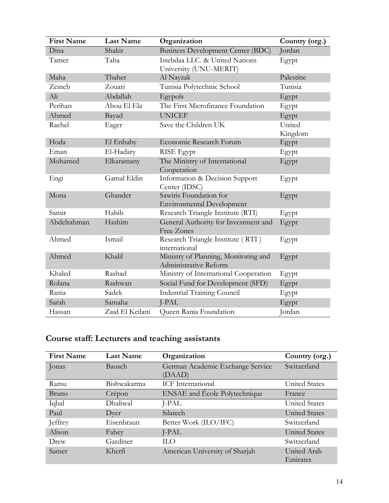| <b>First Name</b> | <b>Last Name</b> | Organization                                                  | Country (org.) |
|-------------------|------------------|---------------------------------------------------------------|----------------|
| Dina              | Shakir           | <b>Business Development Center (BDC)</b>                      | Jordan         |
| Tamer             | Taha             | Istebdaa LLC. & United Nations<br>University (UNU-MERIT)      | Egypt          |
| Maha              | Thaher           | Al Nayzak                                                     | Palestine      |
| Zeineb            | Zouari           | Tunisia Polytechnic School                                    | Tunisia        |
| Ali               | Abdallah         | Egypols                                                       | Egypt          |
| Perihan           | Abou El Ela      | The First Microfinance Foundation                             | Egypt          |
| Ahmed             | Bayad            | <b>UNICEF</b>                                                 | Egypt          |
| Rachel            | Eager            | Save the Children UK                                          | United         |
|                   |                  |                                                               | Kingdom        |
| Hoda              | El Enbaby        | Economic Research Forum                                       | Egypt          |
| Eman              | El-Hadary        | <b>RISE</b> Egypt                                             | Egypt          |
| Mohamed           | Elkaramany       | The Ministry of International                                 | Egypt          |
|                   |                  | Cooperation                                                   |                |
| Engi              | Gamal Eldin      | Information & Decision Support<br>Center (IDSC)               | Egypt          |
| Mona              | Ghander          | Sawiris Foundation for<br><b>Environmental Development</b>    | Egypt          |
| Samir             | Habib            | Research Triangle Institute (RTI)                             | Egypt          |
| Abdelrahman       | Hashim           | General Authority for Investment and<br>Free Zones            | Egypt          |
| Ahmed             | Ismail           | Research Triangle Institute (RTI)<br>international            | Egypt          |
| Ahmed             | Khalil           | Ministry of Planning, Monitoring and<br>Administrative Reform | Egypt          |
| Khaled            | Rashad           | Ministry of International Cooperation                         | Egypt          |
| Rolana            | Rashwan          | Social Fund for Development (SFD)                             | Egypt          |
| Rania             | Sadek            | <b>Industrial Training Council</b>                            | Egypt          |
| Sarah             | Samaha           | J-PAL                                                         | Egypt          |
| Hassan            | Zaid El Keilani  | Queen Rania Foundation                                        | Jordan         |

# **Course staff: Lecturers and teaching assistants**

| <b>First Name</b> | <b>Last Name</b> | Organization                         | Country (org.)       |
|-------------------|------------------|--------------------------------------|----------------------|
| Jonas             | Bausch           | German Academic Exchange Service     | Switzerland          |
|                   |                  | (DAAD)                               |                      |
| Ramu              | Bishwakarma      | <b>ICF</b> International             | <b>United States</b> |
| <b>Bruno</b>      | Crépon           | <b>ENSAE</b> and Ecole Polytechnique | France               |
| Iqbal             | Dhaliwal         | J-PAL                                | <b>United States</b> |
| Paul              | Dyer             | Silatech                             | <b>United States</b> |
| Jeffrey           | Eisenbraun       | Better Work (ILO/IFC)                | Switzerland          |
| Alison            | Fahey            | J-PAL                                | United States        |
| Drew              | Gardiner         | HО                                   | Switzerland          |
| Samer             | Kherfi           | American University of Sharjah       | United Arab          |
|                   |                  |                                      | Emirates             |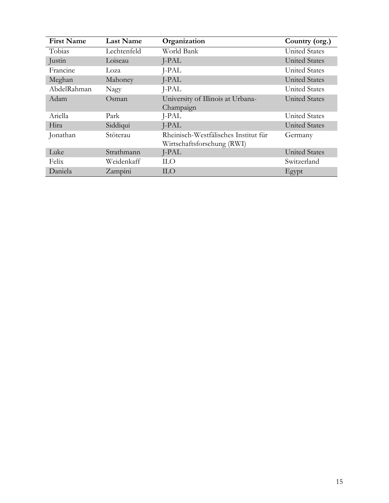<span id="page-14-0"></span>

| <b>First Name</b> | <b>Last Name</b> | Organization                         | Country (org.)       |
|-------------------|------------------|--------------------------------------|----------------------|
| Tobias            | Lechtenfeld      | World Bank                           | <b>United States</b> |
| Justin            | Loiseau          | J-PAL                                | <b>United States</b> |
| Francine          | Loza             | J-PAL                                | <b>United States</b> |
| Meghan            | Mahoney          | J-PAL                                | <b>United States</b> |
| AbdelRahman       | Nagy             | J-PAL                                | <b>United States</b> |
| Adam              | Osman            | University of Illinois at Urbana-    | <b>United States</b> |
|                   |                  | Champaign                            |                      |
| Ariella           | Park             | J-PAL                                | <b>United States</b> |
| Hira              | Siddiqui         | J-PAL                                | <b>United States</b> |
| Jonathan          | Stöterau         | Rheinisch-Westfälisches Institut für | Germany              |
|                   |                  | Wirtschaftsforschung (RWI)           |                      |
| Luke              | Strathmann       | J-PAL                                | <b>United States</b> |
| Felix             | Weidenkaff       | <b>ILO</b>                           | Switzerland          |
| Daniela           | Zampini          | <b>ILO</b>                           | Egypt                |